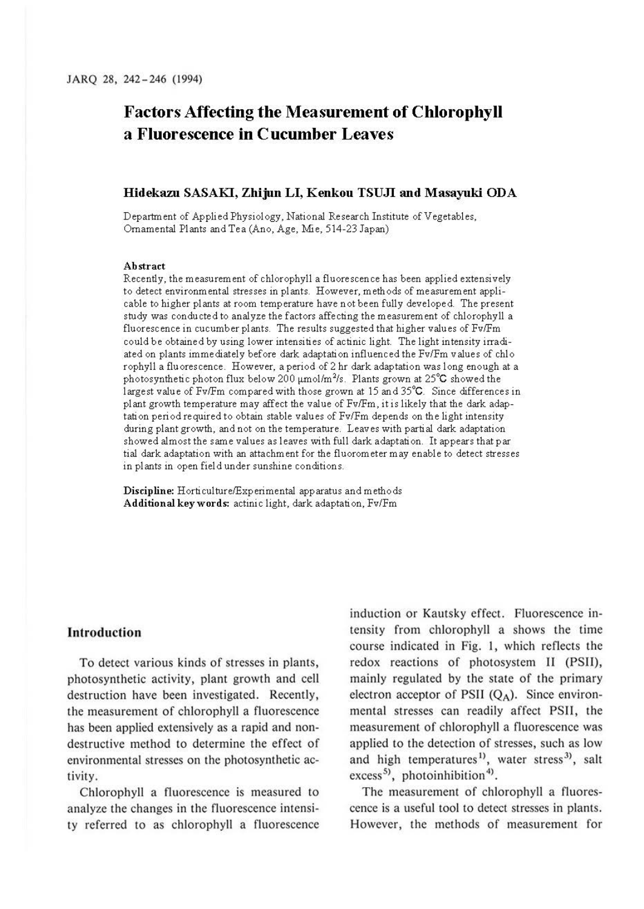# **Factors Affecting the Measurement of Chlorophyll a Fluorescence in Cucumber Leaves**

#### **Hidekazu SASAKI, Zhijun LI, Kenkou TSUJI and Masayuki ODA**

Department of Applied Physiology, National Research Institute of Vegetables, Ornamental Plants and Tea (Ano, Age, Mie, 514-23 Japan)

#### **Abstract**

Recently, the measurement of chlorophyll a fluorescence has been applied extensively to detect environmental stresses in plants. However, methods of measurement applicable to higher plants at room temperature have not been fully developed. The present study was conducted to analyze the factors affecting the measurement of chlorophyll a fluorescence in cucumber plants. The results suggested that higher values of Fv/Fm could be obtained by using lower intensities of actinic light. The light intensity irradiated on plants immediately before dark adaptation influenced the Fv/Fm values of chlo rophyll a fluorescence. However, a period of 2 hr dark adaptation was long enough at a photosynthetic photon flux below 200  $\mu$ mol/m<sup>2</sup>/s. Plants grown at 25<sup>°</sup>C showed the largest value of Fv/Fm compared with those grown at 15 and 35°C. Since differences in pl ant growth temperature may affect the value of Fv/Fm, it is likely that the dark adaptation period required to obtain stable values of Fv/Fm depends on the light intensity during plant growth, and not on the temperature. Leaves with partial dark adaptation showed almost the same values as leaves with full dark adaptation. It appears that par tial dark adaptation with an attachment for the fluorometer may enable to detect stresses in plants in open field under sunshine conditions.

**Discipline:** Horticulture/Experimental apparatus and methods **Additional keywords:** actinic light, dark adaptation, Fv/Fm

#### **Introduction**

To detect various kinds of stresses in plants, photosynthetic activity, plant growth and cell destruction have been investigated. Recently, the measurement of chlorophyll a fluorescence has been applied extensively as a rapid and nondestructive method to determine the effect of environmental stresses on the photosynthetic activity.

Chlorophyll a fluorescence is measured to analyze the changes in the fluorescence intensity referred to as chlorophyll a fluorescence induction or Kautsky effect. Fluorescence intensity from chlorophyll a shows the time course indicated in Fig. I, which reflects the redox reactions of photosystem II (PSII), mainly regulated by the state of the primary electron acceptor of PSII  $(Q_A)$ . Since environmental stresses can readily affect PSll, the measurement of chlorophyll a fluorescence was applied to the detection of stresses, such as low and high temperatures<sup>1)</sup>, water stress<sup>3)</sup>, salt excess<sup>5</sup>, photoinhibition<sup>4</sup>).

The measurement of chlorophyll a fluorescence is a useful tool to detect stresses in plants. However, the methods of measurement for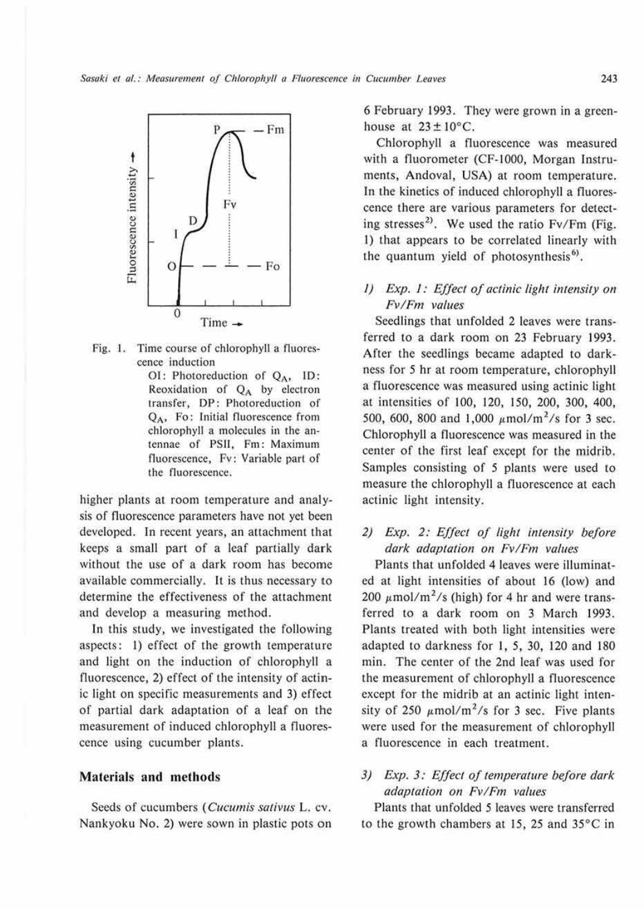

Fig. I. Time course of chlorophyll a fluorescence induction

> OI: Photoreduction of  $Q_A$ , ID: Reoxidation of  $Q_A$  by electron transfer, DP: Photoreduction or QA, Fo: Initial fluorescence from chlorophyll a molecules in the antennae of PSII, Fm: Maximum fluorescence, Fv: Variable parl of the fluorescence.

higher plants at room temperature and analysis of fluorescence parameters have not yet been developed. In recent years, an attachment that keeps a small part of a leaf partially dark without the use of a dark room has become available commercially. It is thus necessary to determine the effectiveness of the attachment and develop a measuring method.

In this study, we investigated the following aspects: !) effect of the growth temperature and light on the induction of chlorophyll a fluorescence, 2) effect of the intensity of actinic light on specific measurements and 3) effect or partial dark adaptation or a leaf on the measurement of induced chlorophyll a fluorescence using cucumber plants.

### **Materials and methods**

Seeds of cucumbers ( *Cucumis sativus* L. cv. Nankyoku No. 2) were sown in plastic pots on 6 February 1993. They were grown in a greenhouse at  $23 \pm 10^{\circ}$ C.

Chlorophyll a fluorescence was measured with a fluorometer (CF-1000, Morgan Instruments, Andoval, USA) at room temperature. In the kinetics or induced chlorophyll a fluorescence there are various parameters for detecting stresses<sup>2)</sup>. We used the ratio Fv/Fm (Fig. 1) that appears to be correlated linearly with the quantum yield of photosynthesis<sup>6)</sup>.

# *I)* Exp. 1: Effect of actinic light intensity on *Fv/Fm values*

Seedlings that unfolded 2 leaves were transferred to a dark room on 23 February 1993. After the seedlings became adapted to darkness for 5 hr at room temperature, chlorophyll a fluorescence was measured using actinic light at intensities of 100, 120, 150, 200, 300, 400, 500, 600, 800 and 1,000  $\mu$ mol/m<sup>2</sup>/s for 3 sec. Chlorophyll a fluorescence was measured in the center of the first leaf except for the midrib. Samples consisting of 5 plants were used to measure the chlorophyll a fluorescence at each actinic light intensity.

# *2) Exp. 2: Effect of light intensity before dark adaptation on Fv!Fm values*

Plants that unfolded 4 leaves were illuminated at light intensities of about 16 (low) and 200  $\mu$ mol/m<sup>2</sup>/s (high) for 4 hr and were transferred to a dark room on 3 March 1993. Plants treated with both light intensities were adapted to darkness for I, 5, 30, 120 and 180 min. The center of the 2nd leaf was used for the measurement of chlorophyll a fluorescence except for the midrib at an actinic light intensity of 250  $\mu$ mol/m<sup>2</sup>/s for 3 sec. Five plants were used for the measurement of chlorophyll a fluorescence in each treatment.

# *3) Exp. 3: Effect of temperature before dark adaptation on Fv!Fm values*

Plants that unfolded 5 leaves were transferred to the growth chambers at 15, 25 and 35°C in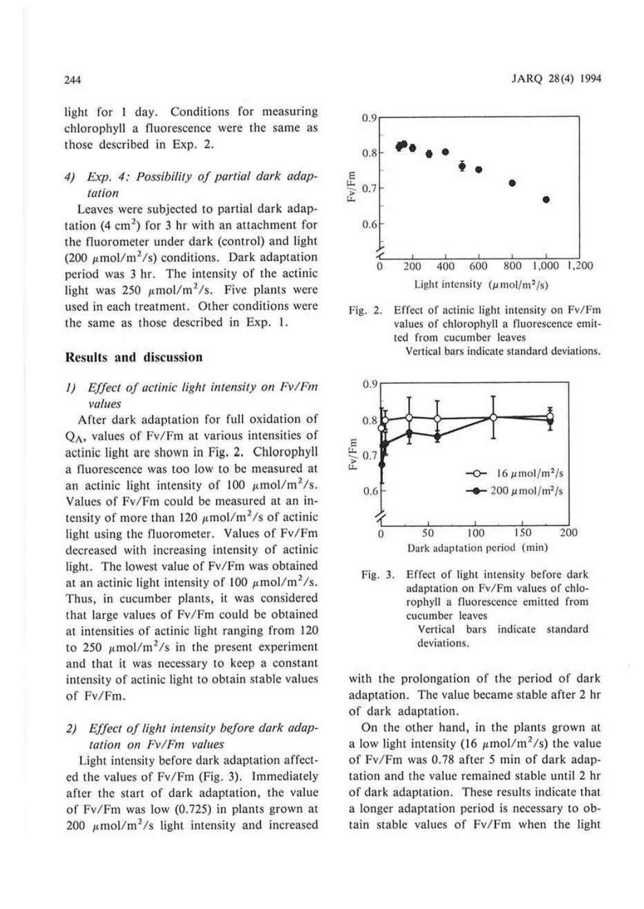light for I day. Conditions for measuring chlorophyll a fluorescence were the same as those described in Exp. 2.

# 4) Exp. 4: Possibility of partial dark adap*tation*

Leaves were subjected to partial dark adaptation  $(4 \text{ cm}^2)$  for 3 hr with an attachment for the fluorometer under dark (control) and light (200  $\mu$ mol/m<sup>2</sup>/s) conditions. Dark adaptation period was 3 hr. The intensity of the actinic light was 250  $\mu$ mol/m<sup>2</sup>/s. Five plants were used in each treatment. Other conditions were the same as those described in Exp. I.

#### **Results and discussion**

## *I) Effect of actinic light intensity on Fv/Fm values*

After dark adaptation for full oxidation of  $Q_A$ , values of Fv/Fm at various intensities of actinic light are shown in Fig. 2. Chlorophyll a fluorescence was too low to be measured at an actinic light intensity of 100  $\mu$ mol/m<sup>2</sup>/s. Values of Fv/Fm could be measured at an intensity of more than 120  $\mu$ mol/m<sup>2</sup>/s of actinic light using the fluorometer. Values of Fv/Fm decreased with increasing intensity of actinic light. The lowest value of Fv/Fm was obtained at an actinic light intensity of 100  $\mu$ mol/m<sup>2</sup>/s. Thus, in cucumber plants, it was considered that large values of Fv/Fm could be obtained at intensities of actinic light ranging from 120 to 250  $\mu$ mol/m<sup>2</sup>/s in the present experiment and that it was necessary to keep a constant intensity of actinic light to obtain stable values of Fv/Fm.

# *2) Effect of light intensity before dark adap· talion on Fv/Fm values*

Light intensity before dark adaptation affected the values of Fv/Fm (Fig. 3). Immediately after the start of dark adaptation, the value of Fv/Fm was low (0.725) in plants grown at 200  $\mu$ mol/m<sup>2</sup>/s light intensity and increased



Fig. 2. Effect of actinic light intensity on Fv/Fm values of chlorophyll a fluorescence emitted from cucumber leaves Vertical bars indicate standard deviations.





with the prolongation of the period of dark adaptation. The value became stable after 2 hr of dark adaptation.

On the other hand, in the plants grown at a low light intensity (16  $\mu$ mol/m<sup>2</sup>/s) the value of Fv/Fm was 0.78 after 5 min of dark adaptation and the value remained stable until 2 hr of dark adaptation. These results indicate that a longer adaptation period is necessary to obtain stable values of Fv/Fm when the light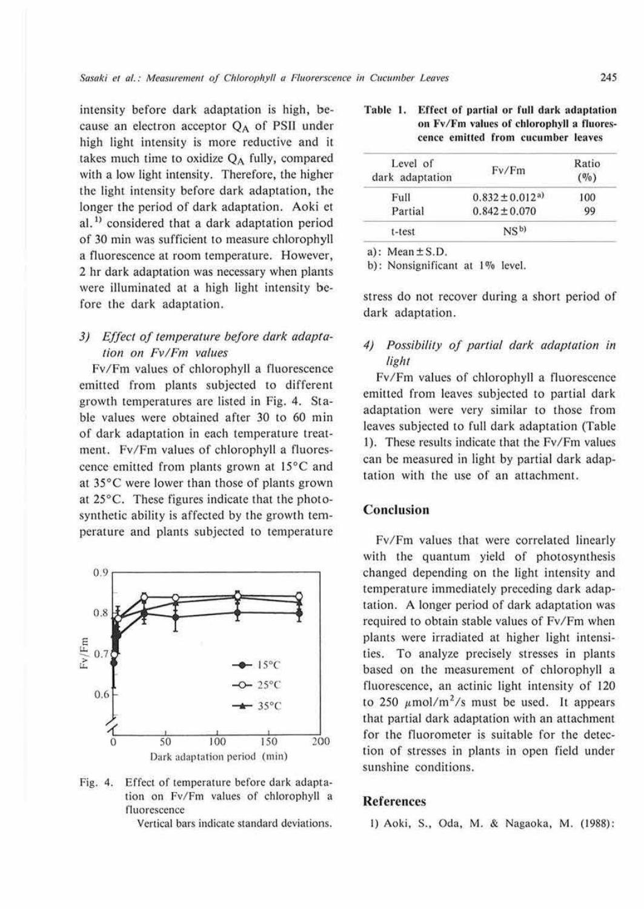intensity before dark adaptation is high, because an electron acceptor QA of PSII under high light intensity is more reductive and it takes much time to oxidize  $Q_A$  fully, compared with a low light intensity. Therefore, the higher the light intensity before dark adaptation, the longer the period of dark adaptation. Aoki et al.<sup>1)</sup> considered that a dark adaptation period of 30 min was sufficient to measure chlorophyll a fluorescence at room temperature. However, 2 hr dark adaptation was necessary when plants were illuminated at a high light intensity before the dark adaptation.

### 3) Effect of temperature before dark adaptation on Fv/Fm values

Fv/Fm values of chlorophyll a fluorescence emitted from plants subjected to different growth temperatures are listed in Fig. 4. Stable values were obtained after 30 to 60 min of dark adaptation in each temperature treatment. Fv/Fm values of chlorophyll a fluorescence emitted from plants grown at 15°C and at 35°C were lower than those of plants grown at  $25^{\circ}$ C. These figures indicate that the photosynthetic ability is affected by the growth temperature and plants subjected to temperature



Fig. 4. Effect of temperature before dark adaptation on Fv/Fm values of chlorophyll a fluorescence

Vertical bars indicate standard deviations.

#### Table 1. Effect of partial or full dark adaptation on Fv/Fm values of chlorophyll a fluorescence emitted from cucumber leaves

| Level of<br>dark adaptation | Fv/Fm                           | Ratio<br>(0/0) |
|-----------------------------|---------------------------------|----------------|
| Full                        | $0.832 \pm 0.012$ <sup>a)</sup> | 100            |
| Partial                     | $0.842 \pm 0.070$               | 99             |
| t-test                      | NS <sup>b</sup>                 |                |

a): Mean  $\pm$  S.D.

b): Nonsignificant at 1% level.

stress do not recover during a short period of dark adaptation.

# 4) Possibility of partial dark adaptation in light

Fv/Fm values of chlorophyll a fluorescence emitted from leaves subjected to partial dark adaptation were very similar to those from leaves subjected to full dark adaptation (Table 1). These results indicate that the Fv/Fm values can be measured in light by partial dark adaptation with the use of an attachment.

#### Conclusion

Fv/Fm values that were correlated linearly with the quantum yield of photosynthesis changed depending on the light intensity and temperature immediately preceding dark adaptation. A longer period of dark adaptation was required to obtain stable values of Fv/Fm when plants were irradiated at higher light intensities. To analyze precisely stresses in plants based on the measurement of chlorophyll a fluorescence, an actinic light intensity of 120 to 250  $\mu$ mol/m<sup>2</sup>/s must be used. It appears that partial dark adaptation with an attachment for the fluorometer is suitable for the detection of stresses in plants in open field under sunshine conditions.

#### **References**

1) Aoki, S., Oda, M. & Nagaoka, M. (1988):